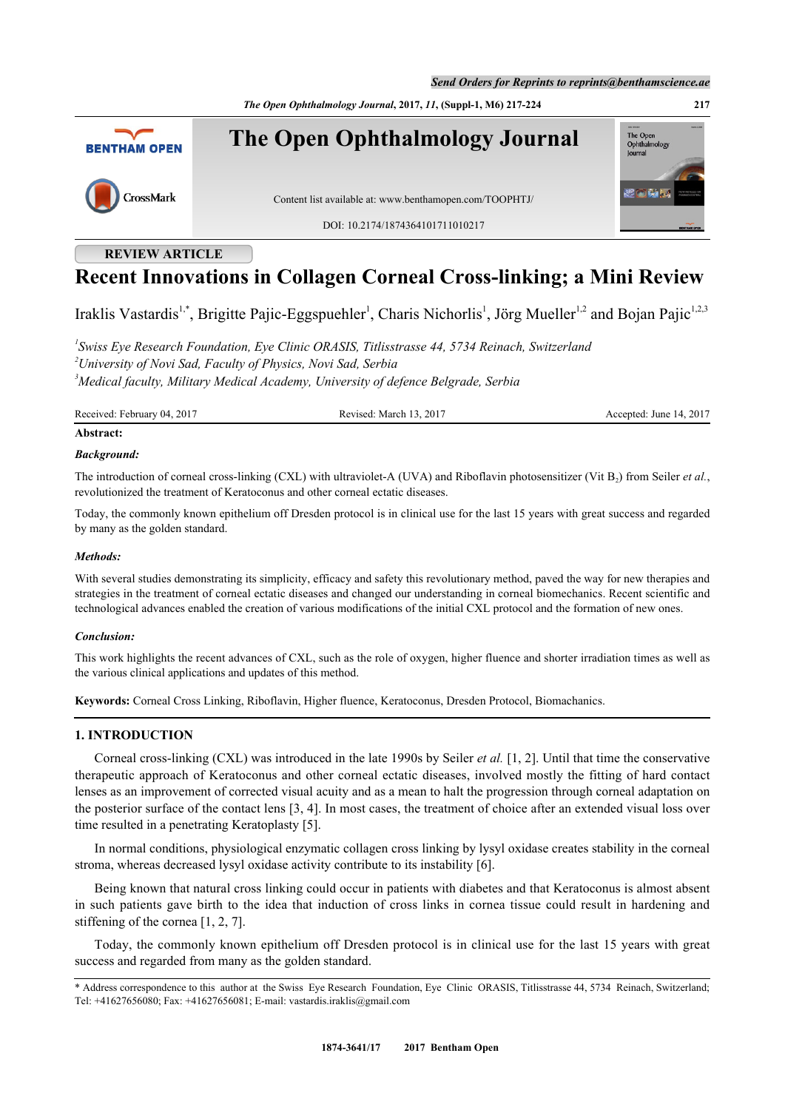*Send Orders for Reprints to reprints@benthamscience.ae*

*The Open Ophthalmology Journal***, 2017,** *11***, (Suppl-1, M6) 217-224 217**



# **REVIEW ARTICLE**

# **Recent Innovations in Collagen Corneal Cross-linking; a Mini Review**

Iraklis Vastardis<sup>[1,](#page-0-0)[\\*](#page-0-1)</sup>, Brigitte Pajic-Eggspuehler<sup>[1](#page-0-0)</sup>, Charis Nichorlis<sup>1</sup>, Jörg Mueller<sup>1,[2](#page-0-2)</sup> and Bojan Pajic<sup>1[,2](#page-0-2),[3](#page-0-3)</sup>

<span id="page-0-3"></span><span id="page-0-2"></span><span id="page-0-0"></span>*1 Swiss Eye Research Foundation, Eye Clinic ORASIS, Titlisstrasse 44, 5734 Reinach, Switzerland <sup>2</sup>University of Novi Sad, Faculty of Physics, Novi Sad, Serbia <sup>3</sup>Medical faculty, Military Medical Academy, University of defence Belgrade, Serbia*

Received: February 04, 2017 **Revised: March 13, 2017** Accepted: June 14, 2017

# **Abstract:**

## *Background:*

The introduction of corneal cross-linking (CXL) with ultraviolet-A (UVA) and Riboflavin photosensitizer (Vit  $B_2$ ) from Seiler *et al.*, revolutionized the treatment of Keratoconus and other corneal ectatic diseases.

Today, the commonly known epithelium off Dresden protocol is in clinical use for the last 15 years with great success and regarded by many as the golden standard.

### *Methods:*

With several studies demonstrating its simplicity, efficacy and safety this revolutionary method, paved the way for new therapies and strategies in the treatment of corneal ectatic diseases and changed our understanding in corneal biomechanics. Recent scientific and technological advances enabled the creation of various modifications of the initial CXL protocol and the formation of new ones.

### *Conclusion:*

This work highlights the recent advances of CXL, such as the role of oxygen, higher fluence and shorter irradiation times as well as the various clinical applications and updates of this method.

**Keywords:** Corneal Cross Linking, Riboflavin, Higher fluence, Keratoconus, Dresden Protocol, Biomachanics.

# **1. INTRODUCTION**

Corneal cross-linking (CXL) was introduced in the late 1990s by Seiler *et al.* [[1](#page-4-0), [2](#page-4-1)]. Until that time the conservative therapeutic approach of Keratoconus and other corneal ectatic diseases, involved mostly the fitting of hard contact lenses as an improvement of corrected visual acuity and as a mean to halt the progression through corneal adaptation on the posterior surface of the contact lens [[3,](#page-4-2) [4](#page-4-3)]. In most cases, the treatment of choice after an extended visual loss over time resulted in a penetrating Keratoplasty [[5\]](#page-4-4).

In normal conditions, physiological enzymatic collagen cross linking by lysyl oxidase creates stability in the corneal stroma, whereas decreased lysyl oxidase activity contribute to its instability [[6\]](#page-4-5).

Being known that natural cross linking could occur in patients with diabetes and that Keratoconus is almost absent in such patients gave birth to the idea that induction of cross links in cornea tissue could result in hardening and stiffening of the cornea [[1,](#page-4-0) [2,](#page-4-1) [7\]](#page-4-6).

Today, the commonly known epithelium off Dresden protocol is in clinical use for the last 15 years with great success and regarded from many as the golden standard.

<span id="page-0-1"></span><sup>\*</sup> Address correspondence to this author at the Swiss Eye Research Foundation, Eye Clinic ORASIS, Titlisstrasse 44, 5734 Reinach, Switzerland; Tel: +41627656080; Fax: +41627656081; E-mail: [vastardis.iraklis@gmail.com](mailto:vastardis.iraklis@gmail.com)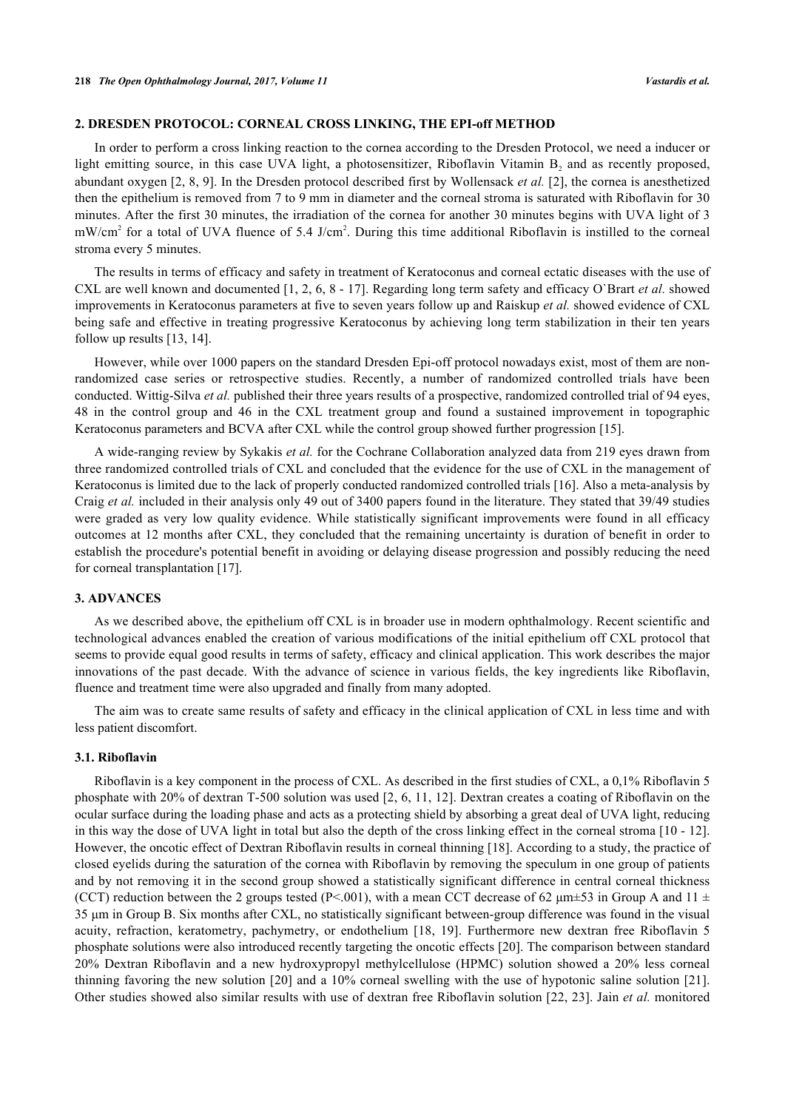# **2. DRESDEN PROTOCOL: CORNEAL CROSS LINKING, THE EPI-off METHOD**

In order to perform a cross linking reaction to the cornea according to the Dresden Protocol, we need a inducer or light emitting source, in this case UVA light, a photosensitizer, Riboflavin Vitamin  $B_2$  and as recently proposed, abundant oxygen [[2](#page-4-1), [8](#page-4-7), [9\]](#page-4-8). In the Dresden protocol described first by Wollensack *et al.* [[2\]](#page-4-1), the cornea is anesthetized then the epithelium is removed from 7 to 9 mm in diameter and the corneal stroma is saturated with Riboflavin for 30 minutes. After the first 30 minutes, the irradiation of the cornea for another 30 minutes begins with UVA light of 3  $mW/cm<sup>2</sup>$  for a total of UVA fluence of 5.4 J/cm<sup>2</sup>. During this time additional Riboflavin is instilled to the corneal stroma every 5 minutes.

The results in terms of efficacy and safety in treatment of Keratoconus and corneal ectatic diseases with the use of CXL are well known and documented [[1,](#page-4-0) [2](#page-4-1), [6](#page-4-5), [8](#page-4-7) - [17\]](#page-5-0). Regarding long term safety and efficacy O`Brart *et al.* showed improvements in Keratoconus parameters at five to seven years follow up and Raiskup *et al.* showed evidence of CXL being safe and effective in treating progressive Keratoconus by achieving long term stabilization in their ten years follow up results [[13,](#page-4-9) [14\]](#page-4-10).

However, while over 1000 papers on the standard Dresden Epi-off protocol nowadays exist, most of them are nonrandomized case series or retrospective studies. Recently, a number of randomized controlled trials have been conducted. Wittig-Silva *et al.* published their three years results of a prospective, randomized controlled trial of 94 eyes, 48 in the control group and 46 in the CXL treatment group and found a sustained improvement in topographic Keratoconus parameters and BCVA after CXL while the control group showed further progression [[15\]](#page-4-11).

A wide-ranging review by Sykakis *et al.* for the Cochrane Collaboration analyzed data from 219 eyes drawn from three randomized controlled trials of CXL and concluded that the evidence for the use of CXL in the management of Keratoconus is limited due to the lack of properly conducted randomized controlled trials [\[16\]](#page-5-1). Also a meta-analysis by Craig *et al.* included in their analysis only 49 out of 3400 papers found in the literature. They stated that 39/49 studies were graded as very low quality evidence. While statistically significant improvements were found in all efficacy outcomes at 12 months after CXL, they concluded that the remaining uncertainty is duration of benefit in order to establish the procedure's potential benefit in avoiding or delaying disease progression and possibly reducing the need for corneal transplantation [\[17](#page-5-0)].

#### **3. ADVANCES**

As we described above, the epithelium off CXL is in broader use in modern ophthalmology. Recent scientific and technological advances enabled the creation of various modifications of the initial epithelium off CXL protocol that seems to provide equal good results in terms of safety, efficacy and clinical application. This work describes the major innovations of the past decade. With the advance of science in various fields, the key ingredients like Riboflavin, fluence and treatment time were also upgraded and finally from many adopted.

The aim was to create same results of safety and efficacy in the clinical application of CXL in less time and with less patient discomfort.

#### **3.1. Riboflavin**

Riboflavin is a key component in the process of CXL. As described in the first studies of CXL, a 0,1% Riboflavin 5 phosphate with 20% of dextran T-500 solution was used [[2](#page-4-1), [6](#page-4-5), [11,](#page-4-12) [12](#page-4-13)]. Dextran creates a coating of Riboflavin on the ocular surface during the loading phase and acts as a protecting shield by absorbing a great deal of UVA light, reducing in this way the dose of UVA light in total but also the depth of the cross linking effect in the corneal stroma [[10](#page-4-14) - [12\]](#page-4-13). However, the oncotic effect of Dextran Riboflavin results in corneal thinning [\[18](#page-5-2)]. According to a study, the practice of closed eyelids during the saturation of the cornea with Riboflavin by removing the speculum in one group of patients and by not removing it in the second group showed a statistically significant difference in central corneal thickness (CCT) reduction between the 2 groups tested (P<.001), with a mean CCT decrease of 62  $\mu$ m $\pm$ 53 in Group A and 11  $\pm$ 35 μm in Group B. Six months after CXL, no statistically significant between-group difference was found in the visual acuity, refraction, keratometry, pachymetry, or endothelium [\[18,](#page-5-2) [19](#page-5-3)]. Furthermore new dextran free Riboflavin 5 phosphate solutions were also introduced recently targeting the oncotic effects [\[20](#page-5-4)]. The comparison between standard 20% Dextran Riboflavin and a new hydroxypropyl methylcellulose (HPMC) solution showed a 20% less corneal thinning favoring the new solution [\[20](#page-5-4)] and a 10% corneal swelling with the use of hypotonic saline solution [\[21\]](#page-5-5). Other studies showed also similar results with use of dextran free Riboflavin solution [[22](#page-5-6), [23](#page-5-7)]. Jain *et al.* monitored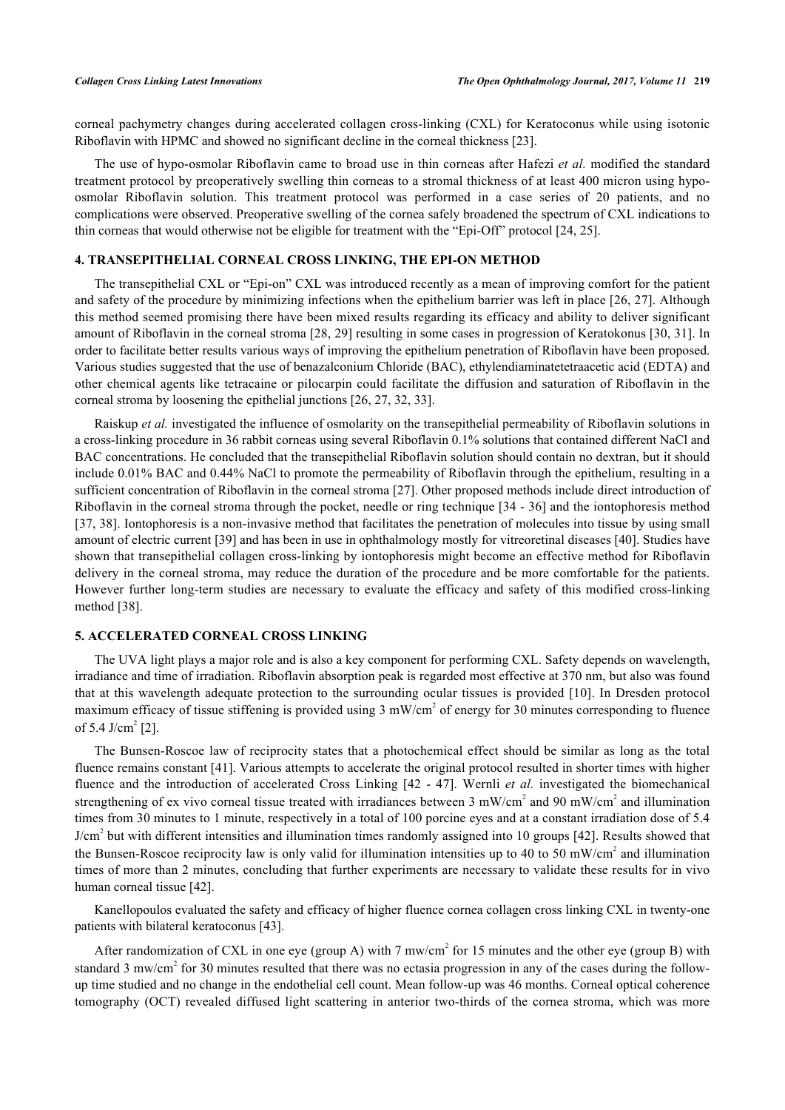corneal pachymetry changes during accelerated collagen cross-linking (CXL) for Keratoconus while using isotonic Riboflavin with HPMC and showed no significant decline in the corneal thickness [[23\]](#page-5-7).

The use of hypo-osmolar Riboflavin came to broad use in thin corneas after Hafezi *et al.* modified the standard treatment protocol by preoperatively swelling thin corneas to a stromal thickness of at least 400 micron using hypoosmolar Riboflavin solution. This treatment protocol was performed in a case series of 20 patients, and no complications were observed. Preoperative swelling of the cornea safely broadened the spectrum of CXL indications to thin corneas that would otherwise not be eligible for treatment with the "Epi-Off" protocol [[24,](#page-5-8) [25\]](#page-5-9).

# **4. TRANSEPITHELIAL CORNEAL CROSS LINKING, THE EPI-ON METHOD**

The transepithelial CXL or "Epi-on" CXL was introduced recently as a mean of improving comfort for the patient and safety of the procedure by minimizing infections when the epithelium barrier was left in place [[26](#page-5-10), [27\]](#page-5-11). Although this method seemed promising there have been mixed results regarding its efficacy and ability to deliver significant amount of Riboflavin in the corneal stroma [[28,](#page-5-12) [29\]](#page-5-13) resulting in some cases in progression of Keratokonus [\[30](#page-5-14), [31\]](#page-5-15). In order to facilitate better results various ways of improving the epithelium penetration of Riboflavin have been proposed. Various studies suggested that the use of benazalconium Chloride (BAC), ethylendiaminatetetraacetic acid (EDTA) and other chemical agents like tetracaine or pilocarpin could facilitate the diffusion and saturation of Riboflavin in the corneal stroma by loosening the epithelial junctions [\[26](#page-5-10), [27](#page-5-11), [32](#page-5-16), [33](#page-5-17)].

Raiskup *et al.* investigated the influence of osmolarity on the transepithelial permeability of Riboflavin solutions in a cross-linking procedure in 36 rabbit corneas using several Riboflavin 0.1% solutions that contained different NaCl and BAC concentrations. He concluded that the transepithelial Riboflavin solution should contain no dextran, but it should include 0.01% BAC and 0.44% NaCl to promote the permeability of Riboflavin through the epithelium, resulting in a sufficient concentration of Riboflavin in the corneal stroma [\[27](#page-5-11)]. Other proposed methods include direct introduction of Riboflavin in the corneal stroma through the pocket, needle or ring technique [[34](#page-5-18) - [36](#page-6-0)] and the iontophoresis method [\[37](#page-6-1), [38\]](#page-6-2). Iontophoresis is a non-invasive method that facilitates the penetration of molecules into tissue by using small amount of electric current [\[39](#page-6-3)] and has been in use in ophthalmology mostly for vitreoretinal diseases [\[40](#page-6-4)]. Studies have shown that transepithelial collagen cross-linking by iontophoresis might become an effective method for Riboflavin delivery in the corneal stroma, may reduce the duration of the procedure and be more comfortable for the patients. However further long-term studies are necessary to evaluate the efficacy and safety of this modified cross-linking method [[38\]](#page-6-2).

#### **5. ACCELERATED CORNEAL CROSS LINKING**

The UVA light plays a major role and is also a key component for performing CXL. Safety depends on wavelength, irradiance and time of irradiation. Riboflavin absorption peak is regarded most effective at 370 nm, but also was found that at this wavelength adequate protection to the surrounding ocular tissues is provided [[10](#page-4-14)]. In Dresden protocol maximum efficacy of tissue stiffening is provided using  $3 \text{ mW/cm}^2$  of energy for  $30$  minutes corresponding to fluence of 5.4 J/cm<sup>2</sup> [[2\]](#page-4-1).

The Bunsen-Roscoe law of reciprocity states that a photochemical effect should be similar as long as the total fluence remains constant [\[41](#page-6-5)]. Various attempts to accelerate the original protocol resulted in shorter times with higher fluence and the introduction of accelerated Cross Linking [\[42](#page-6-6) - [47](#page-6-7)]. Wernli *et al.* investigated the biomechanical strengthening of ex vivo corneal tissue treated with irradiances between 3 mW/cm<sup>2</sup> and 90 mW/cm<sup>2</sup> and illumination times from 30 minutes to 1 minute, respectively in a total of 100 porcine eyes and at a constant irradiation dose of 5.4 J/cm<sup>2</sup> but with different intensities and illumination times randomly assigned into 10 groups [\[42](#page-6-6)]. Results showed that the Bunsen-Roscoe reciprocity law is only valid for illumination intensities up to 40 to 50 mW/cm<sup>2</sup> and illumination times of more than 2 minutes, concluding that further experiments are necessary to validate these results for in vivo human corneal tissue [[42\]](#page-6-6).

Kanellopoulos evaluated the safety and efficacy of higher fluence cornea collagen cross linking CXL in twenty-one patients with bilateral keratoconus [\[43](#page-6-8)].

After randomization of CXL in one eye (group A) with 7 mw/cm<sup>2</sup> for 15 minutes and the other eye (group B) with standard 3 mw/cm<sup>2</sup> for 30 minutes resulted that there was no ectasia progression in any of the cases during the followup time studied and no change in the endothelial cell count. Mean follow-up was 46 months. Corneal optical coherence tomography (OCT) revealed diffused light scattering in anterior two-thirds of the cornea stroma, which was more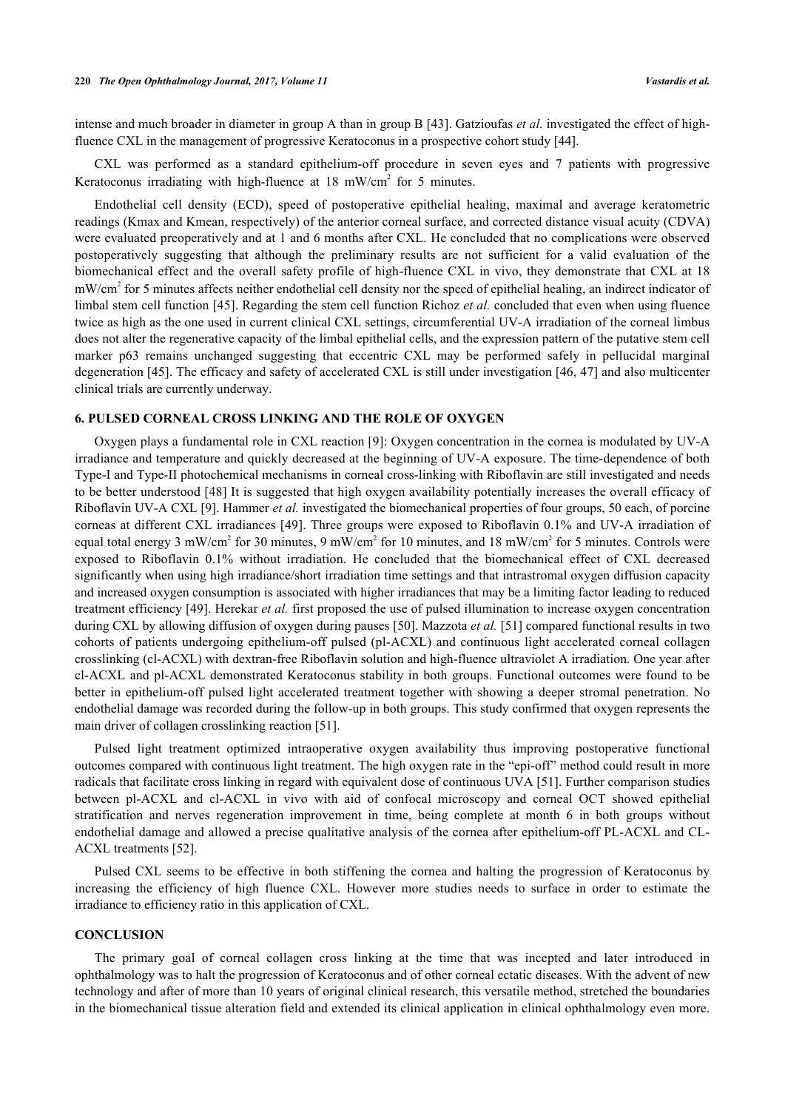intense and much broader in diameter in group A than in group B [[43](#page-6-8)]. Gatzioufas *et al.* investigated the effect of highfluence CXL in the management of progressive Keratoconus in a prospective cohort study [[44\]](#page-6-9).

CXL was performed as a standard epithelium-off procedure in seven eyes and 7 patients with progressive Keratoconus irradiating with high-fluence at  $18 \text{ mW/cm}^2$  for 5 minutes.

Endothelial cell density (ECD), speed of postoperative epithelial healing, maximal and average keratometric readings (Kmax and Kmean, respectively) of the anterior corneal surface, and corrected distance visual acuity (CDVA) were evaluated preoperatively and at 1 and 6 months after CXL. He concluded that no complications were observed postoperatively suggesting that although the preliminary results are not sufficient for a valid evaluation of the biomechanical effect and the overall safety profile of high-fluence CXL in vivo, they demonstrate that CXL at 18 mW/cm<sup>2</sup> for 5 minutes affects neither endothelial cell density nor the speed of epithelial healing, an indirect indicator of limbal stem cell function [[45](#page-6-10)]. Regarding the stem cell function Richoz *et al.* concluded that even when using fluence twice as high as the one used in current clinical CXL settings, circumferential UV-A irradiation of the corneal limbus does not alter the regenerative capacity of the limbal epithelial cells, and the expression pattern of the putative stem cell marker p63 remains unchanged suggesting that eccentric CXL may be performed safely in pellucidal marginal degeneration [[45](#page-6-10)]. The efficacy and safety of accelerated CXL is still under investigation [[46,](#page-6-11) [47](#page-6-7)] and also multicenter clinical trials are currently underway.

# **6. PULSED CORNEAL CROSS LINKING AND THE ROLE OF OXYGEN**

Oxygen plays a fundamental role in CXL reaction [[9\]](#page-4-8): Oxygen concentration in the cornea is modulated by UV-A irradiance and temperature and quickly decreased at the beginning of UV-A exposure. The time-dependence of both Type-I and Type-II photochemical mechanisms in corneal cross-linking with Riboflavin are still investigated and needs to be better understood [[48\]](#page-6-12) It is suggested that high oxygen availability potentially increases the overall efficacy of Riboflavin UV-A CXL [[9\]](#page-4-8). Hammer *et al.* investigated the biomechanical properties of four groups, 50 each, of porcine corneas at different CXL irradiances [\[49](#page-6-13)]. Three groups were exposed to Riboflavin 0.1% and UV-A irradiation of equal total energy 3 mW/cm<sup>2</sup> for 30 minutes, 9 mW/cm<sup>2</sup> for 10 minutes, and 18 mW/cm<sup>2</sup> for 5 minutes. Controls were exposed to Riboflavin 0.1% without irradiation. He concluded that the biomechanical effect of CXL decreased significantly when using high irradiance/short irradiation time settings and that intrastromal oxygen diffusion capacity and increased oxygen consumption is associated with higher irradiances that may be a limiting factor leading to reduced treatment efficiency [\[49](#page-6-13)]. Herekar *et al.* first proposed the use of pulsed illumination to increase oxygen concentration during CXL by allowing diffusion of oxygen during pauses [[50\]](#page-6-14). Mazzota *et al.* [\[51](#page-6-15)] compared functional results in two cohorts of patients undergoing epithelium-off pulsed (pl-ACXL) and continuous light accelerated corneal collagen crosslinking (cl-ACXL) with dextran-free Riboflavin solution and high-fluence ultraviolet A irradiation. One year after cl-ACXL and pl-ACXL demonstrated Keratoconus stability in both groups. Functional outcomes were found to be better in epithelium-off pulsed light accelerated treatment together with showing a deeper stromal penetration. No endothelial damage was recorded during the follow-up in both groups. This study confirmed that oxygen represents the main driver of collagen crosslinking reaction [\[51](#page-6-15)].

Pulsed light treatment optimized intraoperative oxygen availability thus improving postoperative functional outcomes compared with continuous light treatment. The high oxygen rate in the "epi-off" method could result in more radicals that facilitate cross linking in regard with equivalent dose of continuous UVA [\[51\]](#page-6-15). Further comparison studies between pl-ACXL and cl-ACXL in vivo with aid of confocal microscopy and corneal OCT showed epithelial stratification and nerves regeneration improvement in time, being complete at month 6 in both groups without endothelial damage and allowed a precise qualitative analysis of the cornea after epithelium-off PL-ACXL and CL-ACXL treatments [[52\]](#page-6-16).

Pulsed CXL seems to be effective in both stiffening the cornea and halting the progression of Keratoconus by increasing the efficiency of high fluence CXL. However more studies needs to surface in order to estimate the irradiance to efficiency ratio in this application of CXL.

#### **CONCLUSION**

The primary goal of corneal collagen cross linking at the time that was incepted and later introduced in ophthalmology was to halt the progression of Keratoconus and of other corneal ectatic diseases. With the advent of new technology and after of more than 10 years of original clinical research, this versatile method, stretched the boundaries in the biomechanical tissue alteration field and extended its clinical application in clinical ophthalmology even more.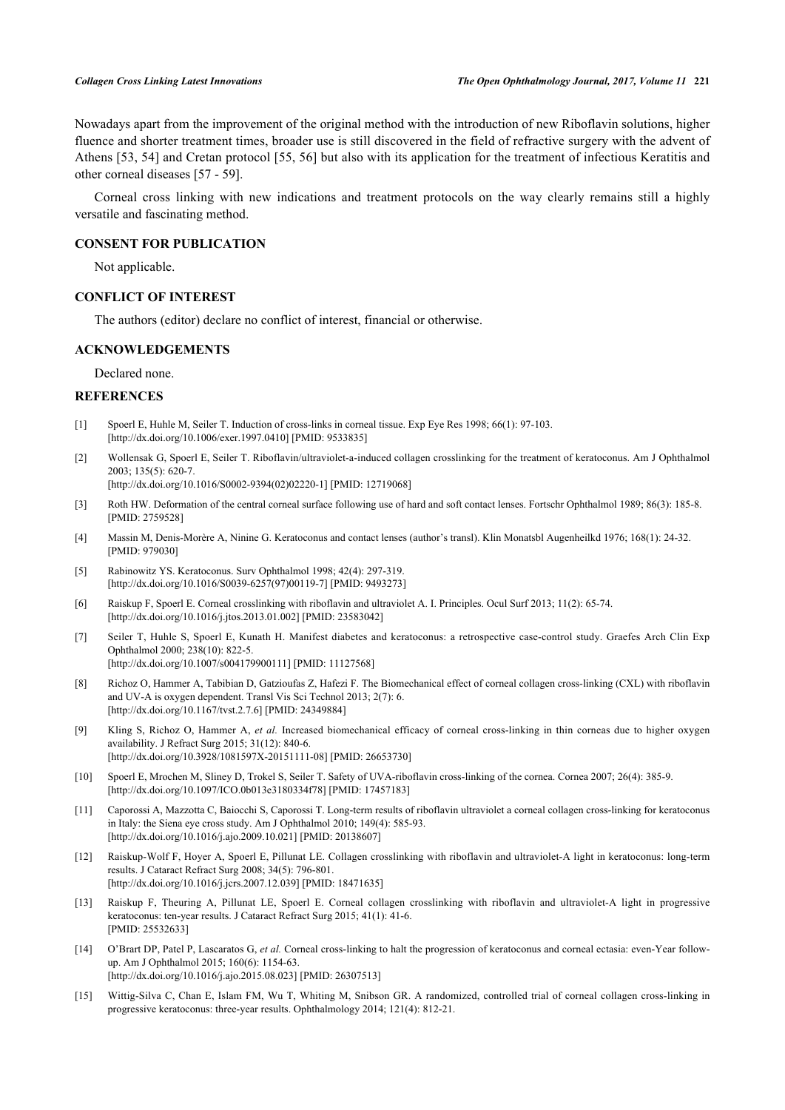Nowadays apart from the improvement of the original method with the introduction of new Riboflavin solutions, higher fluence and shorter treatment times, broader use is still discovered in the field of refractive surgery with the advent of Athens [[53,](#page-6-17) [54\]](#page-6-18) and Cretan protocol [\[55,](#page-6-19) [56](#page-6-20)] but also with its application for the treatment of infectious Keratitis and other corneal diseases [\[57](#page-7-0) - [59\]](#page-7-1).

Corneal cross linking with new indications and treatment protocols on the way clearly remains still a highly versatile and fascinating method.

## **CONSENT FOR PUBLICATION**

Not applicable.

# **CONFLICT OF INTEREST**

The authors (editor) declare no conflict of interest, financial or otherwise.

### **ACKNOWLEDGEMENTS**

Declared none.

# **REFERENCES**

- <span id="page-4-0"></span>[1] Spoerl E, Huhle M, Seiler T. Induction of cross-links in corneal tissue. Exp Eye Res 1998; 66(1): 97-103. [\[http://dx.doi.org/10.1006/exer.1997.0410\]](http://dx.doi.org/10.1006/exer.1997.0410) [PMID: [9533835](http://www.ncbi.nlm.nih.gov/pubmed/9533835)]
- <span id="page-4-1"></span>[2] Wollensak G, Spoerl E, Seiler T. Riboflavin/ultraviolet-a-induced collagen crosslinking for the treatment of keratoconus. Am J Ophthalmol 2003; 135(5): 620-7.
- [\[http://dx.doi.org/10.1016/S0002-9394\(02\)02220-1\]](http://dx.doi.org/10.1016/S0002-9394(02)02220-1) [PMID: [12719068](http://www.ncbi.nlm.nih.gov/pubmed/12719068)]
- <span id="page-4-2"></span>[3] Roth HW. Deformation of the central corneal surface following use of hard and soft contact lenses. Fortschr Ophthalmol 1989; 86(3): 185-8. [PMID: [2759528\]](http://www.ncbi.nlm.nih.gov/pubmed/2759528)
- <span id="page-4-3"></span>[4] Massin M, Denis-Morère A, Ninine G. Keratoconus and contact lenses (author's transl). Klin Monatsbl Augenheilkd 1976; 168(1): 24-32. [PMID: [979030\]](http://www.ncbi.nlm.nih.gov/pubmed/979030)
- <span id="page-4-4"></span>[5] Rabinowitz YS. Keratoconus. Surv Ophthalmol 1998; 42(4): 297-319. [\[http://dx.doi.org/10.1016/S0039-6257\(97\)00119-7\]](http://dx.doi.org/10.1016/S0039-6257(97)00119-7) [PMID: [9493273](http://www.ncbi.nlm.nih.gov/pubmed/9493273)]
- <span id="page-4-5"></span>[6] Raiskup F, Spoerl E. Corneal crosslinking with riboflavin and ultraviolet A. I. Principles. Ocul Surf 2013; 11(2): 65-74. [\[http://dx.doi.org/10.1016/j.jtos.2013.01.002\]](http://dx.doi.org/10.1016/j.jtos.2013.01.002) [PMID: [23583042](http://www.ncbi.nlm.nih.gov/pubmed/23583042)]
- <span id="page-4-6"></span>[7] Seiler T, Huhle S, Spoerl E, Kunath H. Manifest diabetes and keratoconus: a retrospective case-control study. Graefes Arch Clin Exp Ophthalmol 2000; 238(10): 822-5. [\[http://dx.doi.org/10.1007/s004179900111\]](http://dx.doi.org/10.1007/s004179900111) [PMID: [11127568](http://www.ncbi.nlm.nih.gov/pubmed/11127568)]
- <span id="page-4-7"></span>[8] Richoz O, Hammer A, Tabibian D, Gatzioufas Z, Hafezi F. The Biomechanical effect of corneal collagen cross-linking (CXL) with riboflavin and UV-A is oxygen dependent. Transl Vis Sci Technol 2013; 2(7): 6. [\[http://dx.doi.org/10.1167/tvst.2.7.6](http://dx.doi.org/10.1167/tvst.2.7.6)] [PMID: [24349884\]](http://www.ncbi.nlm.nih.gov/pubmed/24349884)
- <span id="page-4-8"></span>[9] Kling S, Richoz O, Hammer A, *et al.* Increased biomechanical efficacy of corneal cross-linking in thin corneas due to higher oxygen availability. J Refract Surg 2015; 31(12): 840-6. [\[http://dx.doi.org/10.3928/1081597X-20151111-08\]](http://dx.doi.org/10.3928/1081597X-20151111-08) [PMID: [26653730](http://www.ncbi.nlm.nih.gov/pubmed/26653730)]
- <span id="page-4-14"></span>[10] Spoerl E, Mrochen M, Sliney D, Trokel S, Seiler T. Safety of UVA-riboflavin cross-linking of the cornea. Cornea 2007; 26(4): 385-9. [\[http://dx.doi.org/10.1097/ICO.0b013e3180334f78\]](http://dx.doi.org/10.1097/ICO.0b013e3180334f78) [PMID: [17457183](http://www.ncbi.nlm.nih.gov/pubmed/17457183)]
- <span id="page-4-12"></span>[11] Caporossi A, Mazzotta C, Baiocchi S, Caporossi T. Long-term results of riboflavin ultraviolet a corneal collagen cross-linking for keratoconus in Italy: the Siena eye cross study. Am J Ophthalmol 2010; 149(4): 585-93. [\[http://dx.doi.org/10.1016/j.ajo.2009.10.021\]](http://dx.doi.org/10.1016/j.ajo.2009.10.021) [PMID: [20138607](http://www.ncbi.nlm.nih.gov/pubmed/20138607)]
- <span id="page-4-13"></span>[12] Raiskup-Wolf F, Hoyer A, Spoerl E, Pillunat LE. Collagen crosslinking with riboflavin and ultraviolet-A light in keratoconus: long-term results. J Cataract Refract Surg 2008; 34(5): 796-801. [\[http://dx.doi.org/10.1016/j.jcrs.2007.12.039\]](http://dx.doi.org/10.1016/j.jcrs.2007.12.039) [PMID: [18471635](http://www.ncbi.nlm.nih.gov/pubmed/18471635)]
- <span id="page-4-9"></span>[13] Raiskup F, Theuring A, Pillunat LE, Spoerl E. Corneal collagen crosslinking with riboflavin and ultraviolet-A light in progressive keratoconus: ten-year results. J Cataract Refract Surg 2015; 41(1): 41-6. [PMID: [25532633\]](http://www.ncbi.nlm.nih.gov/pubmed/25532633)
- <span id="page-4-10"></span>[14] O'Brart DP, Patel P, Lascaratos G, *et al.* Corneal cross-linking to halt the progression of keratoconus and corneal ectasia: even-Year followup. Am J Ophthalmol 2015; 160(6): 1154-63. [\[http://dx.doi.org/10.1016/j.ajo.2015.08.023\]](http://dx.doi.org/10.1016/j.ajo.2015.08.023) [PMID: [26307513](http://www.ncbi.nlm.nih.gov/pubmed/26307513)]
- <span id="page-4-11"></span>[15] Wittig-Silva C, Chan E, Islam FM, Wu T, Whiting M, Snibson GR. A randomized, controlled trial of corneal collagen cross-linking in progressive keratoconus: three-year results. Ophthalmology 2014; 121(4): 812-21.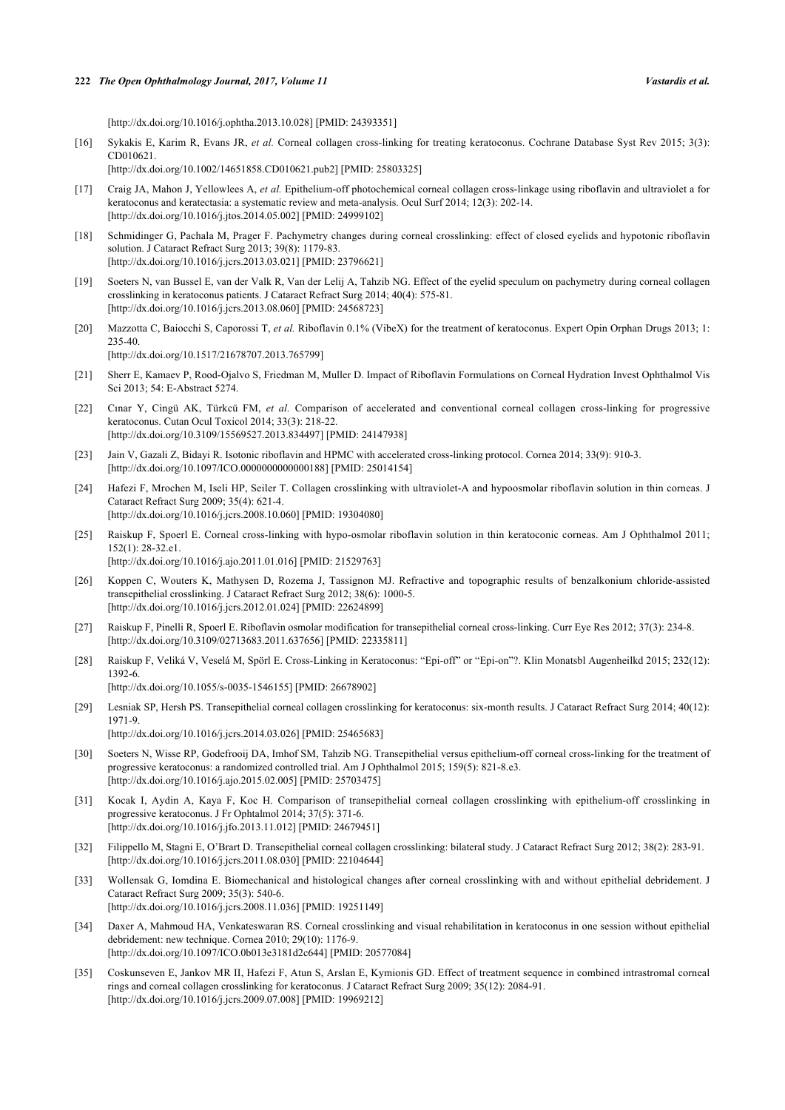[\[http://dx.doi.org/10.1016/j.ophtha.2013.10.028\]](http://dx.doi.org/10.1016/j.ophtha.2013.10.028) [PMID: [24393351](http://www.ncbi.nlm.nih.gov/pubmed/24393351)]

<span id="page-5-1"></span>[16] Sykakis E, Karim R, Evans JR, *et al.* Corneal collagen cross-linking for treating keratoconus. Cochrane Database Syst Rev 2015; 3(3): CD010621.

[\[http://dx.doi.org/10.1002/14651858.CD010621.pub2\]](http://dx.doi.org/10.1002/14651858.CD010621.pub2) [PMID: [25803325](http://www.ncbi.nlm.nih.gov/pubmed/25803325)]

- <span id="page-5-0"></span>[17] Craig JA, Mahon J, Yellowlees A, *et al.* Epithelium-off photochemical corneal collagen cross-linkage using riboflavin and ultraviolet a for keratoconus and keratectasia: a systematic review and meta-analysis. Ocul Surf 2014; 12(3): 202-14. [\[http://dx.doi.org/10.1016/j.jtos.2014.05.002\]](http://dx.doi.org/10.1016/j.jtos.2014.05.002) [PMID: [24999102](http://www.ncbi.nlm.nih.gov/pubmed/24999102)]
- <span id="page-5-2"></span>[18] Schmidinger G, Pachala M, Prager F. Pachymetry changes during corneal crosslinking: effect of closed eyelids and hypotonic riboflavin solution. J Cataract Refract Surg 2013; 39(8): 1179-83. [\[http://dx.doi.org/10.1016/j.jcrs.2013.03.021\]](http://dx.doi.org/10.1016/j.jcrs.2013.03.021) [PMID: [23796621](http://www.ncbi.nlm.nih.gov/pubmed/23796621)]
- <span id="page-5-3"></span>[19] Soeters N, van Bussel E, van der Valk R, Van der Lelij A, Tahzib NG. Effect of the eyelid speculum on pachymetry during corneal collagen crosslinking in keratoconus patients. J Cataract Refract Surg 2014; 40(4): 575-81. [\[http://dx.doi.org/10.1016/j.jcrs.2013.08.060\]](http://dx.doi.org/10.1016/j.jcrs.2013.08.060) [PMID: [24568723](http://www.ncbi.nlm.nih.gov/pubmed/24568723)]
- <span id="page-5-4"></span>[20] Mazzotta C, Baiocchi S, Caporossi T, *et al.* Riboflavin 0.1% (VibeX) for the treatment of keratoconus. Expert Opin Orphan Drugs 2013; 1: 235-40. [\[http://dx.doi.org/10.1517/21678707.2013.765799\]](http://dx.doi.org/10.1517/21678707.2013.765799)
- <span id="page-5-5"></span>[21] Sherr E, Kamaev P, Rood-Ojalvo S, Friedman M, Muller D. Impact of Riboflavin Formulations on Corneal Hydration Invest Ophthalmol Vis Sci 2013; 54: E-Abstract 5274.
- <span id="page-5-6"></span>[22] Cınar Y, Cingü AK, Türkcü FM, *et al.* Comparison of accelerated and conventional corneal collagen cross-linking for progressive keratoconus. Cutan Ocul Toxicol 2014; 33(3): 218-22. [\[http://dx.doi.org/10.3109/15569527.2013.834497\]](http://dx.doi.org/10.3109/15569527.2013.834497) [PMID: [24147938](http://www.ncbi.nlm.nih.gov/pubmed/24147938)]
- <span id="page-5-7"></span>[23] Jain V, Gazali Z, Bidayi R. Isotonic riboflavin and HPMC with accelerated cross-linking protocol. Cornea 2014; 33(9): 910-3. [\[http://dx.doi.org/10.1097/ICO.0000000000000188\]](http://dx.doi.org/10.1097/ICO.0000000000000188) [PMID: [25014154](http://www.ncbi.nlm.nih.gov/pubmed/25014154)]
- <span id="page-5-8"></span>[24] Hafezi F, Mrochen M, Iseli HP, Seiler T. Collagen crosslinking with ultraviolet-A and hypoosmolar riboflavin solution in thin corneas. J Cataract Refract Surg 2009; 35(4): 621-4. [\[http://dx.doi.org/10.1016/j.jcrs.2008.10.060\]](http://dx.doi.org/10.1016/j.jcrs.2008.10.060) [PMID: [19304080](http://www.ncbi.nlm.nih.gov/pubmed/19304080)]
- <span id="page-5-9"></span>[25] Raiskup F, Spoerl E. Corneal cross-linking with hypo-osmolar riboflavin solution in thin keratoconic corneas. Am J Ophthalmol 2011; 152(1): 28-32.e1.
- [\[http://dx.doi.org/10.1016/j.ajo.2011.01.016\]](http://dx.doi.org/10.1016/j.ajo.2011.01.016) [PMID: [21529763](http://www.ncbi.nlm.nih.gov/pubmed/21529763)]
- <span id="page-5-10"></span>[26] Koppen C, Wouters K, Mathysen D, Rozema J, Tassignon MJ. Refractive and topographic results of benzalkonium chloride-assisted transepithelial crosslinking. J Cataract Refract Surg 2012; 38(6): 1000-5. [\[http://dx.doi.org/10.1016/j.jcrs.2012.01.024\]](http://dx.doi.org/10.1016/j.jcrs.2012.01.024) [PMID: [22624899](http://www.ncbi.nlm.nih.gov/pubmed/22624899)]
- <span id="page-5-11"></span>[27] Raiskup F, Pinelli R, Spoerl E. Riboflavin osmolar modification for transepithelial corneal cross-linking. Curr Eye Res 2012; 37(3): 234-8. [\[http://dx.doi.org/10.3109/02713683.2011.637656\]](http://dx.doi.org/10.3109/02713683.2011.637656) [PMID: [22335811](http://www.ncbi.nlm.nih.gov/pubmed/22335811)]
- <span id="page-5-12"></span>[28] Raiskup F, Veliká V, Veselá M, Spörl E. Cross-Linking in Keratoconus: "Epi-off" or "Epi-on"?. Klin Monatsbl Augenheilkd 2015; 232(12): 1392-6. [\[http://dx.doi.org/10.1055/s-0035-1546155](http://dx.doi.org/10.1055/s-0035-1546155)] [PMID: [26678902\]](http://www.ncbi.nlm.nih.gov/pubmed/26678902)
- <span id="page-5-13"></span>[29] Lesniak SP, Hersh PS. Transepithelial corneal collagen crosslinking for keratoconus: six-month results. J Cataract Refract Surg 2014; 40(12): 1971-9. [\[http://dx.doi.org/10.1016/j.jcrs.2014.03.026\]](http://dx.doi.org/10.1016/j.jcrs.2014.03.026) [PMID: [25465683](http://www.ncbi.nlm.nih.gov/pubmed/25465683)]
- <span id="page-5-14"></span>[30] Soeters N, Wisse RP, Godefrooij DA, Imhof SM, Tahzib NG. Transepithelial versus epithelium-off corneal cross-linking for the treatment of progressive keratoconus: a randomized controlled trial. Am J Ophthalmol 2015; 159(5): 821-8.e3. [\[http://dx.doi.org/10.1016/j.ajo.2015.02.005\]](http://dx.doi.org/10.1016/j.ajo.2015.02.005) [PMID: [25703475](http://www.ncbi.nlm.nih.gov/pubmed/25703475)]
- <span id="page-5-15"></span>[31] Kocak I, Aydin A, Kaya F, Koc H. Comparison of transepithelial corneal collagen crosslinking with epithelium-off crosslinking in progressive keratoconus. J Fr Ophtalmol 2014; 37(5): 371-6. [\[http://dx.doi.org/10.1016/j.jfo.2013.11.012\]](http://dx.doi.org/10.1016/j.jfo.2013.11.012) [PMID: [24679451](http://www.ncbi.nlm.nih.gov/pubmed/24679451)]
- <span id="page-5-16"></span>[32] Filippello M, Stagni E, O'Brart D. Transepithelial corneal collagen crosslinking: bilateral study. J Cataract Refract Surg 2012; 38(2): 283-91. [\[http://dx.doi.org/10.1016/j.jcrs.2011.08.030\]](http://dx.doi.org/10.1016/j.jcrs.2011.08.030) [PMID: [22104644](http://www.ncbi.nlm.nih.gov/pubmed/22104644)]
- <span id="page-5-17"></span>[33] Wollensak G, Iomdina E. Biomechanical and histological changes after corneal crosslinking with and without epithelial debridement. J Cataract Refract Surg 2009; 35(3): 540-6. [\[http://dx.doi.org/10.1016/j.jcrs.2008.11.036\]](http://dx.doi.org/10.1016/j.jcrs.2008.11.036) [PMID: [19251149](http://www.ncbi.nlm.nih.gov/pubmed/19251149)]
- <span id="page-5-18"></span>[34] Daxer A, Mahmoud HA, Venkateswaran RS. Corneal crosslinking and visual rehabilitation in keratoconus in one session without epithelial debridement: new technique. Cornea 2010; 29(10): 1176-9. [\[http://dx.doi.org/10.1097/ICO.0b013e3181d2c644\]](http://dx.doi.org/10.1097/ICO.0b013e3181d2c644) [PMID: [20577084](http://www.ncbi.nlm.nih.gov/pubmed/20577084)]
- [35] Coskunseven E, Jankov MR II, Hafezi F, Atun S, Arslan E, Kymionis GD. Effect of treatment sequence in combined intrastromal corneal rings and corneal collagen crosslinking for keratoconus. J Cataract Refract Surg 2009; 35(12): 2084-91. [\[http://dx.doi.org/10.1016/j.jcrs.2009.07.008\]](http://dx.doi.org/10.1016/j.jcrs.2009.07.008) [PMID: [19969212](http://www.ncbi.nlm.nih.gov/pubmed/19969212)]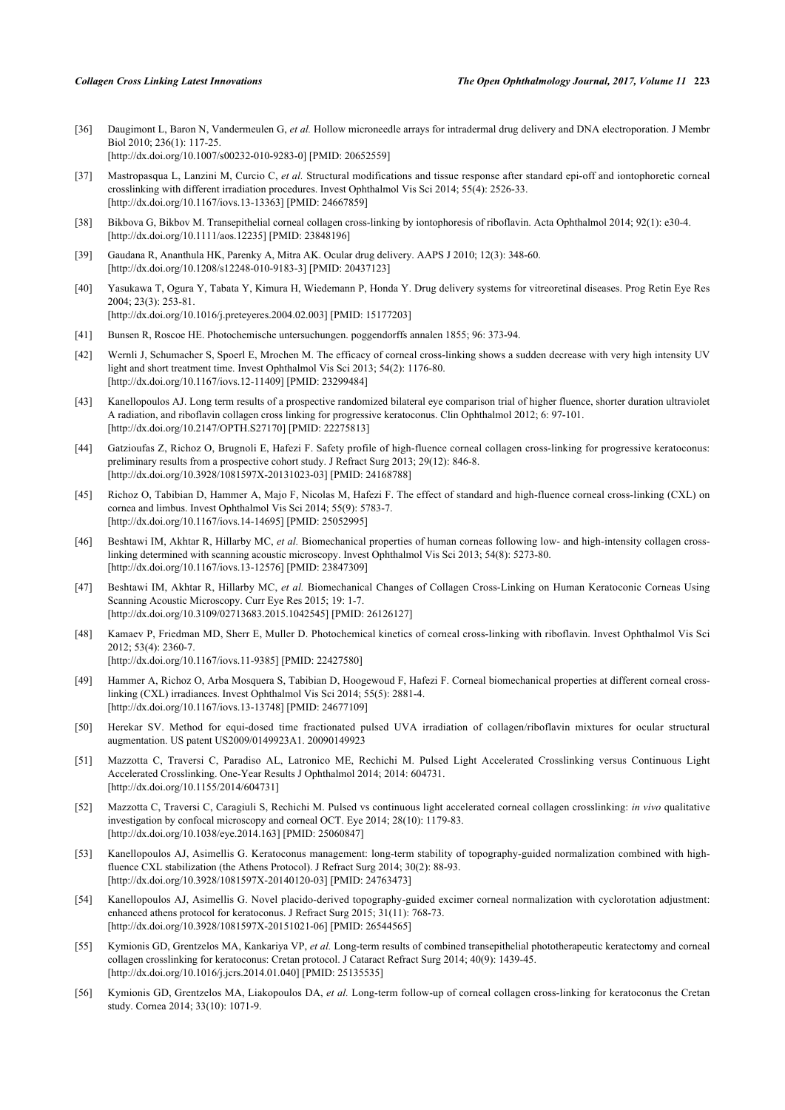- <span id="page-6-0"></span>[36] Daugimont L, Baron N, Vandermeulen G, *et al.* Hollow microneedle arrays for intradermal drug delivery and DNA electroporation. J Membr Biol 2010; 236(1): 117-25. [\[http://dx.doi.org/10.1007/s00232-010-9283-0\]](http://dx.doi.org/10.1007/s00232-010-9283-0) [PMID: [20652559](http://www.ncbi.nlm.nih.gov/pubmed/20652559)]
- <span id="page-6-1"></span>[37] Mastropasqua L, Lanzini M, Curcio C, *et al.* Structural modifications and tissue response after standard epi-off and iontophoretic corneal crosslinking with different irradiation procedures. Invest Ophthalmol Vis Sci 2014; 55(4): 2526-33. [\[http://dx.doi.org/10.1167/iovs.13-13363\]](http://dx.doi.org/10.1167/iovs.13-13363) [PMID: [24667859](http://www.ncbi.nlm.nih.gov/pubmed/24667859)]
- <span id="page-6-2"></span>[38] Bikbova G, Bikbov M. Transepithelial corneal collagen cross-linking by iontophoresis of riboflavin. Acta Ophthalmol 2014; 92(1): e30-4. [\[http://dx.doi.org/10.1111/aos.12235](http://dx.doi.org/10.1111/aos.12235)] [PMID: [23848196](http://www.ncbi.nlm.nih.gov/pubmed/23848196)]
- <span id="page-6-3"></span>[39] Gaudana R, Ananthula HK, Parenky A, Mitra AK. Ocular drug delivery. AAPS J 2010; 12(3): 348-60. [\[http://dx.doi.org/10.1208/s12248-010-9183-3\]](http://dx.doi.org/10.1208/s12248-010-9183-3) [PMID: [20437123](http://www.ncbi.nlm.nih.gov/pubmed/20437123)]
- <span id="page-6-4"></span>[40] Yasukawa T, Ogura Y, Tabata Y, Kimura H, Wiedemann P, Honda Y. Drug delivery systems for vitreoretinal diseases. Prog Retin Eye Res 2004; 23(3): 253-81. [\[http://dx.doi.org/10.1016/j.preteyeres.2004.02.003\]](http://dx.doi.org/10.1016/j.preteyeres.2004.02.003) [PMID: [15177203](http://www.ncbi.nlm.nih.gov/pubmed/15177203)]
- <span id="page-6-5"></span>[41] Bunsen R, Roscoe HE. Photochemische untersuchungen. poggendorffs annalen 1855; 96: 373-94.
- <span id="page-6-6"></span>[42] Wernli J, Schumacher S, Spoerl E, Mrochen M. The efficacy of corneal cross-linking shows a sudden decrease with very high intensity UV light and short treatment time. Invest Ophthalmol Vis Sci 2013; 54(2): 1176-80. [\[http://dx.doi.org/10.1167/iovs.12-11409\]](http://dx.doi.org/10.1167/iovs.12-11409) [PMID: [23299484](http://www.ncbi.nlm.nih.gov/pubmed/23299484)]
- <span id="page-6-8"></span>[43] Kanellopoulos AJ. Long term results of a prospective randomized bilateral eye comparison trial of higher fluence, shorter duration ultraviolet A radiation, and riboflavin collagen cross linking for progressive keratoconus. Clin Ophthalmol 2012; 6: 97-101. [\[http://dx.doi.org/10.2147/OPTH.S27170](http://dx.doi.org/10.2147/OPTH.S27170)] [PMID: [22275813\]](http://www.ncbi.nlm.nih.gov/pubmed/22275813)
- <span id="page-6-9"></span>[44] Gatzioufas Z, Richoz O, Brugnoli E, Hafezi F. Safety profile of high-fluence corneal collagen cross-linking for progressive keratoconus: preliminary results from a prospective cohort study. J Refract Surg 2013; 29(12): 846-8. [\[http://dx.doi.org/10.3928/1081597X-20131023-03\]](http://dx.doi.org/10.3928/1081597X-20131023-03) [PMID: [24168788](http://www.ncbi.nlm.nih.gov/pubmed/24168788)]
- <span id="page-6-10"></span>[45] Richoz O, Tabibian D, Hammer A, Majo F, Nicolas M, Hafezi F. The effect of standard and high-fluence corneal cross-linking (CXL) on cornea and limbus. Invest Ophthalmol Vis Sci 2014; 55(9): 5783-7. [\[http://dx.doi.org/10.1167/iovs.14-14695\]](http://dx.doi.org/10.1167/iovs.14-14695) [PMID: [25052995](http://www.ncbi.nlm.nih.gov/pubmed/25052995)]
- <span id="page-6-11"></span>[46] Beshtawi IM, Akhtar R, Hillarby MC, *et al.* Biomechanical properties of human corneas following low- and high-intensity collagen crosslinking determined with scanning acoustic microscopy. Invest Ophthalmol Vis Sci 2013; 54(8): 5273-80. [\[http://dx.doi.org/10.1167/iovs.13-12576\]](http://dx.doi.org/10.1167/iovs.13-12576) [PMID: [23847309](http://www.ncbi.nlm.nih.gov/pubmed/23847309)]
- <span id="page-6-7"></span>[47] Beshtawi IM, Akhtar R, Hillarby MC, *et al.* Biomechanical Changes of Collagen Cross-Linking on Human Keratoconic Corneas Using Scanning Acoustic Microscopy. Curr Eye Res 2015; 19: 1-7. [\[http://dx.doi.org/10.3109/02713683.2015.1042545\]](http://dx.doi.org/10.3109/02713683.2015.1042545) [PMID: [26126127](http://www.ncbi.nlm.nih.gov/pubmed/26126127)]
- <span id="page-6-12"></span>[48] Kamaev P, Friedman MD, Sherr E, Muller D. Photochemical kinetics of corneal cross-linking with riboflavin. Invest Ophthalmol Vis Sci 2012; 53(4): 2360-7. [\[http://dx.doi.org/10.1167/iovs.11-9385\]](http://dx.doi.org/10.1167/iovs.11-9385) [PMID: [22427580](http://www.ncbi.nlm.nih.gov/pubmed/22427580)]
- <span id="page-6-13"></span>[49] Hammer A, Richoz O, Arba Mosquera S, Tabibian D, Hoogewoud F, Hafezi F. Corneal biomechanical properties at different corneal crosslinking (CXL) irradiances. Invest Ophthalmol Vis Sci 2014; 55(5): 2881-4. [\[http://dx.doi.org/10.1167/iovs.13-13748\]](http://dx.doi.org/10.1167/iovs.13-13748) [PMID: [24677109](http://www.ncbi.nlm.nih.gov/pubmed/24677109)]
- <span id="page-6-14"></span>[50] Herekar SV. Method for equi-dosed time fractionated pulsed UVA irradiation of collagen/riboflavin mixtures for ocular structural augmentation. US patent US2009/0149923A1. 20090149923
- <span id="page-6-15"></span>[51] Mazzotta C, Traversi C, Paradiso AL, Latronico ME, Rechichi M. Pulsed Light Accelerated Crosslinking versus Continuous Light Accelerated Crosslinking. One-Year Results J Ophthalmol 2014; 2014: 604731. [\[http://dx.doi.org/10.1155/2014/604731](http://dx.doi.org/10.1155/2014/604731)]
- <span id="page-6-16"></span>[52] Mazzotta C, Traversi C, Caragiuli S, Rechichi M. Pulsed vs continuous light accelerated corneal collagen crosslinking: *in vivo* qualitative investigation by confocal microscopy and corneal OCT. Eye 2014; 28(10): 1179-83. [\[http://dx.doi.org/10.1038/eye.2014.163\]](http://dx.doi.org/10.1038/eye.2014.163) [PMID: [25060847](http://www.ncbi.nlm.nih.gov/pubmed/25060847)]
- <span id="page-6-17"></span>[53] Kanellopoulos AJ, Asimellis G. Keratoconus management: long-term stability of topography-guided normalization combined with highfluence CXL stabilization (the Athens Protocol). J Refract Surg 2014; 30(2): 88-93. [\[http://dx.doi.org/10.3928/1081597X-20140120-03\]](http://dx.doi.org/10.3928/1081597X-20140120-03) [PMID: [24763473](http://www.ncbi.nlm.nih.gov/pubmed/24763473)]
- <span id="page-6-18"></span>[54] Kanellopoulos AJ, Asimellis G. Novel placido-derived topography-guided excimer corneal normalization with cyclorotation adjustment: enhanced athens protocol for keratoconus. J Refract Surg 2015; 31(11): 768-73. [\[http://dx.doi.org/10.3928/1081597X-20151021-06\]](http://dx.doi.org/10.3928/1081597X-20151021-06) [PMID: [26544565](http://www.ncbi.nlm.nih.gov/pubmed/26544565)]
- <span id="page-6-19"></span>[55] Kymionis GD, Grentzelos MA, Kankariya VP, *et al.* Long-term results of combined transepithelial phototherapeutic keratectomy and corneal collagen crosslinking for keratoconus: Cretan protocol. J Cataract Refract Surg 2014; 40(9): 1439-45. [\[http://dx.doi.org/10.1016/j.jcrs.2014.01.040\]](http://dx.doi.org/10.1016/j.jcrs.2014.01.040) [PMID: [25135535](http://www.ncbi.nlm.nih.gov/pubmed/25135535)]
- <span id="page-6-20"></span>[56] Kymionis GD, Grentzelos MA, Liakopoulos DA, *et al.* Long-term follow-up of corneal collagen cross-linking for keratoconus the Cretan study. Cornea 2014; 33(10): 1071-9.